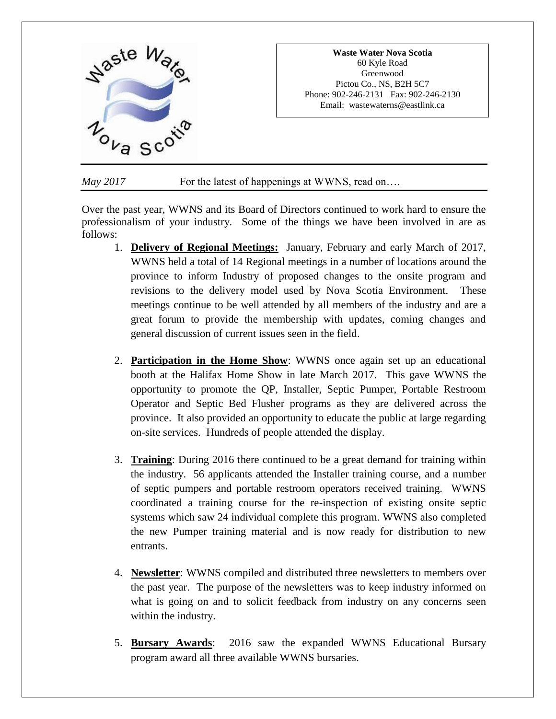

## *May* 2017 **For the latest of happenings at WWNS**, read on...

Over the past year, WWNS and its Board of Directors continued to work hard to ensure the professionalism of your industry. Some of the things we have been involved in are as follows:

- 1. **Delivery of Regional Meetings:** January, February and early March of 2017, WWNS held a total of 14 Regional meetings in a number of locations around the province to inform Industry of proposed changes to the onsite program and revisions to the delivery model used by Nova Scotia Environment. These meetings continue to be well attended by all members of the industry and are a great forum to provide the membership with updates, coming changes and general discussion of current issues seen in the field.
- 2. **Participation in the Home Show**: WWNS once again set up an educational booth at the Halifax Home Show in late March 2017. This gave WWNS the opportunity to promote the QP, Installer, Septic Pumper, Portable Restroom Operator and Septic Bed Flusher programs as they are delivered across the province. It also provided an opportunity to educate the public at large regarding on-site services. Hundreds of people attended the display.
- 3. **Training**: During 2016 there continued to be a great demand for training within the industry. 56 applicants attended the Installer training course, and a number of septic pumpers and portable restroom operators received training. WWNS coordinated a training course for the re-inspection of existing onsite septic systems which saw 24 individual complete this program. WWNS also completed the new Pumper training material and is now ready for distribution to new entrants.
- 4. **Newsletter**: WWNS compiled and distributed three newsletters to members over the past year. The purpose of the newsletters was to keep industry informed on what is going on and to solicit feedback from industry on any concerns seen within the industry.
- 5. **Bursary Awards**: 2016 saw the expanded WWNS Educational Bursary program award all three available WWNS bursaries.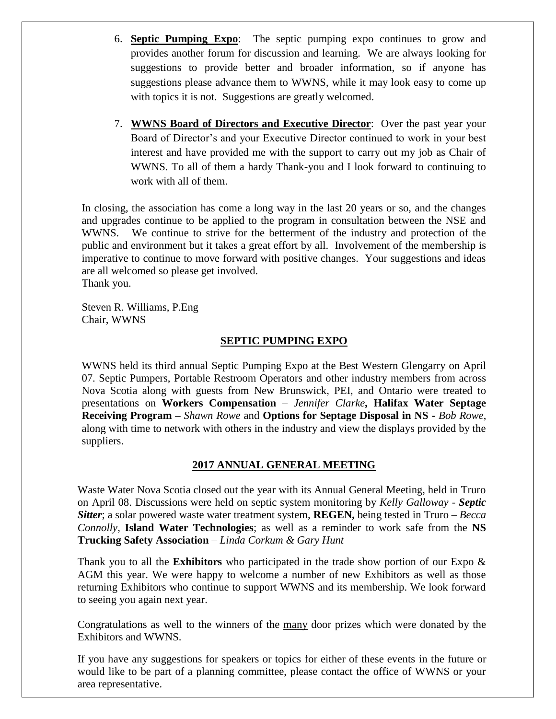- 6. **Septic Pumping Expo**: The septic pumping expo continues to grow and provides another forum for discussion and learning. We are always looking for suggestions to provide better and broader information, so if anyone has suggestions please advance them to WWNS, while it may look easy to come up with topics it is not. Suggestions are greatly welcomed.
- 7. **WWNS Board of Directors and Executive Director**: Over the past year your Board of Director's and your Executive Director continued to work in your best interest and have provided me with the support to carry out my job as Chair of WWNS. To all of them a hardy Thank-you and I look forward to continuing to work with all of them.

In closing, the association has come a long way in the last 20 years or so, and the changes and upgrades continue to be applied to the program in consultation between the NSE and WWNS. We continue to strive for the betterment of the industry and protection of the public and environment but it takes a great effort by all. Involvement of the membership is imperative to continue to move forward with positive changes. Your suggestions and ideas are all welcomed so please get involved. Thank you.

Steven R. Williams, P.Eng Chair, WWNS

### **SEPTIC PUMPING EXPO**

WWNS held its third annual Septic Pumping Expo at the Best Western Glengarry on April 07. Septic Pumpers, Portable Restroom Operators and other industry members from across Nova Scotia along with guests from New Brunswick, PEI, and Ontario were treated to presentations on **Workers Compensation** – *Jennifer Clarke***, Halifax Water Septage Receiving Program –** *Shawn Rowe* and **Options for Septage Disposal in NS -** *Bob Rowe*, along with time to network with others in the industry and view the displays provided by the suppliers.

# **2017 ANNUAL GENERAL MEETING**

Waste Water Nova Scotia closed out the year with its Annual General Meeting, held in Truro on April 08. Discussions were held on septic system monitoring by *Kelly Galloway - Septic Sitter*; a solar powered waste water treatment system, **REGEN,** being tested in Truro – *Becca Connolly*, **Island Water Technologies**; as well as a reminder to work safe from the **NS Trucking Safety Association** – *Linda Corkum & Gary Hunt*

Thank you to all the **Exhibitors** who participated in the trade show portion of our Expo & AGM this year. We were happy to welcome a number of new Exhibitors as well as those returning Exhibitors who continue to support WWNS and its membership. We look forward to seeing you again next year.

Congratulations as well to the winners of the many door prizes which were donated by the Exhibitors and WWNS.

If you have any suggestions for speakers or topics for either of these events in the future or would like to be part of a planning committee, please contact the office of WWNS or your area representative.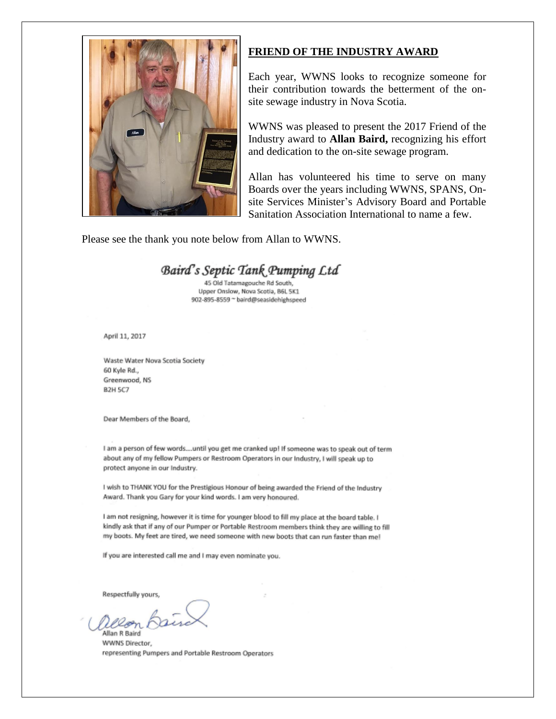

### **FRIEND OF THE INDUSTRY AWARD**

Each year, WWNS looks to recognize someone for their contribution towards the betterment of the onsite sewage industry in Nova Scotia.

WWNS was pleased to present the 2017 Friend of the Industry award to **Allan Baird,** recognizing his effort and dedication to the on-site sewage program.

Allan has volunteered his time to serve on many Boards over the years including WWNS, SPANS, Onsite Services Minister's Advisory Board and Portable Sanitation Association International to name a few.

Please see the thank you note below from Allan to WWNS.

# Baird's Septic Tank Pumping Ltd

45 Old Tatamagouche Rd South, Upper Onslow, Nova Scotia, B6L 5K1 902-895-8559 ~ baird@seasidehighspeed

April 11, 2017

Waste Water Nova Scotia Society 60 Kyle Rd., Greenwood, NS **B2H 5C7** 

Dear Members of the Board,

I am a person of few words....until you get me cranked up! If someone was to speak out of term about any of my fellow Pumpers or Restroom Operators in our Industry, I will speak up to protect anyone in our Industry.

I wish to THANK YOU for the Prestigious Honour of being awarded the Friend of the Industry Award. Thank you Gary for your kind words. I am very honoured.

I am not resigning, however it is time for younger blood to fill my place at the board table. I kindly ask that if any of our Pumper or Portable Restroom members think they are willing to fill my boots. My feet are tired, we need someone with new boots that can run faster than me!

If you are interested call me and I may even nominate you.

Respectfully yours,

∠æ

Allan R Baird WWNS Director. representing Pumpers and Portable Restroom Operators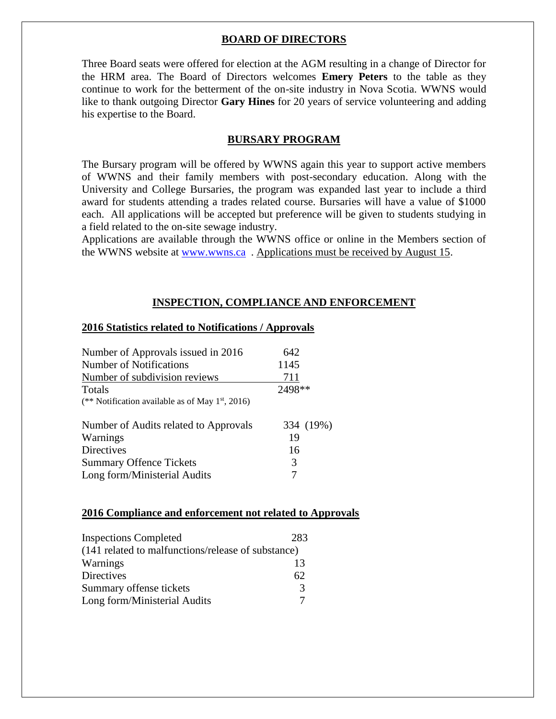### **BOARD OF DIRECTORS**

Three Board seats were offered for election at the AGM resulting in a change of Director for the HRM area. The Board of Directors welcomes **Emery Peters** to the table as they continue to work for the betterment of the on-site industry in Nova Scotia. WWNS would like to thank outgoing Director **Gary Hines** for 20 years of service volunteering and adding his expertise to the Board.

### **BURSARY PROGRAM**

The Bursary program will be offered by WWNS again this year to support active members of WWNS and their family members with post-secondary education. Along with the University and College Bursaries, the program was expanded last year to include a third award for students attending a trades related course. Bursaries will have a value of \$1000 each. All applications will be accepted but preference will be given to students studying in a field related to the on-site sewage industry.

Applications are available through the WWNS office or online in the Members section of the WWNS website at [www.wwns.ca](http://www.wwns.ca/) . Applications must be received by August 15.

### **INSPECTION, COMPLIANCE AND ENFORCEMENT**

#### **2016 Statistics related to Notifications / Approvals**

| Number of Approvals issued in 2016                           | 642       |
|--------------------------------------------------------------|-----------|
| Number of Notifications                                      | 1145      |
| Number of subdivision reviews                                | 711       |
| Totals                                                       | 2498**    |
| (** Notification available as of May 1 <sup>st</sup> , 2016) |           |
| Number of Audits related to Approvals                        | 334 (19%) |
| Warnings                                                     | 19        |
| <b>Directives</b>                                            | 16        |
| <b>Summary Offence Tickets</b>                               | 3         |
| Long form/Ministerial Audits                                 |           |

#### **2016 Compliance and enforcement not related to Approvals**

| <b>Inspections Completed</b>                       | 283           |
|----------------------------------------------------|---------------|
| (141 related to malfunctions/release of substance) |               |
| Warnings                                           | 13            |
| <b>Directives</b>                                  | 62            |
| Summary offense tickets                            | $\mathcal{R}$ |
| Long form/Ministerial Audits                       |               |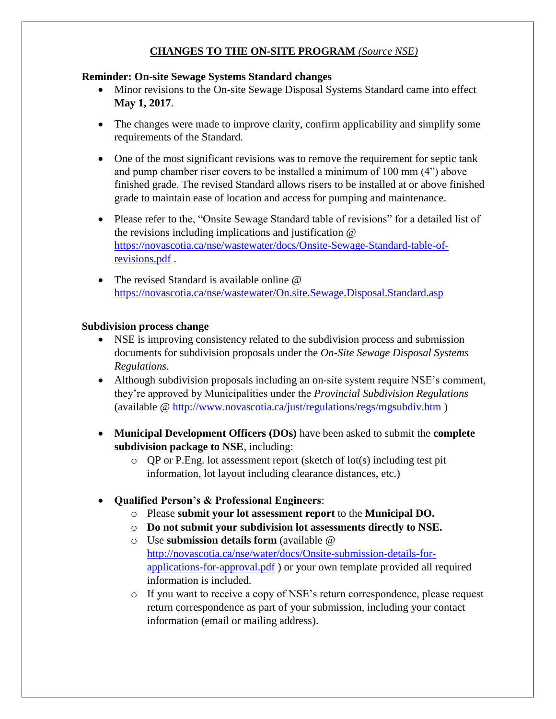# **CHANGES TO THE ON-SITE PROGRAM** *(Source NSE)*

### **Reminder: On-site Sewage Systems Standard changes**

- Minor revisions to the On-site Sewage Disposal Systems Standard came into effect **May 1, 2017**.
- The changes were made to improve clarity, confirm applicability and simplify some requirements of the Standard.
- One of the most significant revisions was to remove the requirement for septic tank and pump chamber riser covers to be installed a minimum of 100 mm (4") above finished grade. The revised Standard allows risers to be installed at or above finished grade to maintain ease of location and access for pumping and maintenance.
- Please refer to the, "Onsite Sewage Standard table of revisions" for a detailed list of the revisions including implications and justification @ [https://novascotia.ca/nse/wastewater/docs/Onsite-Sewage-Standard-table-of](https://novascotia.ca/nse/wastewater/docs/Onsite-Sewage-Standard-table-of-revisions.pdf)[revisions.pdf](https://novascotia.ca/nse/wastewater/docs/Onsite-Sewage-Standard-table-of-revisions.pdf) .
- The revised Standard is available online @ <https://novascotia.ca/nse/wastewater/On.site.Sewage.Disposal.Standard.asp>

## **Subdivision process change**

- NSE is improving consistency related to the subdivision process and submission documents for subdivision proposals under the *On-Site Sewage Disposal Systems Regulations*.
- Although subdivision proposals including an on-site system require NSE's comment, they're approved by Municipalities under the *Provincial Subdivision Regulations*  (available @<http://www.novascotia.ca/just/regulations/regs/mgsubdiv.htm> )
- **Municipal Development Officers (DOs)** have been asked to submit the **complete subdivision package to NSE**, including:
	- o QP or P.Eng. lot assessment report (sketch of lot(s) including test pit information, lot layout including clearance distances, etc.)
- **Qualified Person's & Professional Engineers**:
	- o Please **submit your lot assessment report** to the **Municipal DO.**
	- o **Do not submit your subdivision lot assessments directly to NSE.**
	- o Use **submission details form** (available @ [http://novascotia.ca/nse/water/docs/Onsite-submission-details-for](http://novascotia.ca/nse/water/docs/Onsite-submission-details-for-applications-for-approval.pdf)[applications-for-approval.pdf](http://novascotia.ca/nse/water/docs/Onsite-submission-details-for-applications-for-approval.pdf) ) or your own template provided all required information is included.
	- o If you want to receive a copy of NSE's return correspondence, please request return correspondence as part of your submission, including your contact information (email or mailing address).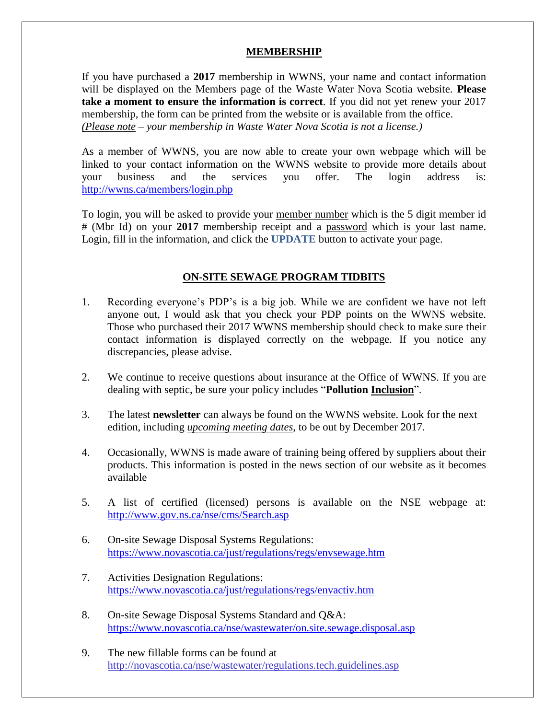### **MEMBERSHIP**

If you have purchased a **2017** membership in WWNS, your name and contact information will be displayed on the Members page of the Waste Water Nova Scotia website. **Please take a moment to ensure the information is correct**. If you did not yet renew your 2017 membership, the form can be printed from the website or is available from the office. *(Please note – your membership in Waste Water Nova Scotia is not a license.)*

As a member of WWNS, you are now able to create your own webpage which will be linked to your contact information on the WWNS website to provide more details about your business and the services you offer. The login address is: <http://wwns.ca/members/login.php>

To login, you will be asked to provide your member number which is the 5 digit member id # (Mbr Id) on your **2017** membership receipt and a password which is your last name. Login, fill in the information, and click the **UPDATE** button to activate your page.

# **ON-SITE SEWAGE PROGRAM TIDBITS**

- 1. Recording everyone's PDP's is a big job. While we are confident we have not left anyone out, I would ask that you check your PDP points on the WWNS website. Those who purchased their 2017 WWNS membership should check to make sure their contact information is displayed correctly on the webpage. If you notice any discrepancies, please advise.
- 2. We continue to receive questions about insurance at the Office of WWNS. If you are dealing with septic, be sure your policy includes "**Pollution Inclusion**".
- 3. The latest **newsletter** can always be found on the WWNS website. Look for the next edition, including *upcoming meeting dates*, to be out by December 2017.
- 4. Occasionally, WWNS is made aware of training being offered by suppliers about their products. This information is posted in the news section of our website as it becomes available
- 5. A list of certified (licensed) persons is available on the NSE webpage at: <http://www.gov.ns.ca/nse/cms/Search.asp>
- 6. On-site Sewage Disposal Systems Regulations: <https://www.novascotia.ca/just/regulations/regs/envsewage.htm>
- 7. Activities Designation Regulations: <https://www.novascotia.ca/just/regulations/regs/envactiv.htm>
- 8. On-site Sewage Disposal Systems Standard and Q&A: <https://www.novascotia.ca/nse/wastewater/on.site.sewage.disposal.asp>
- 9. The new fillable forms can be found at <http://novascotia.ca/nse/wastewater/regulations.tech.guidelines.asp>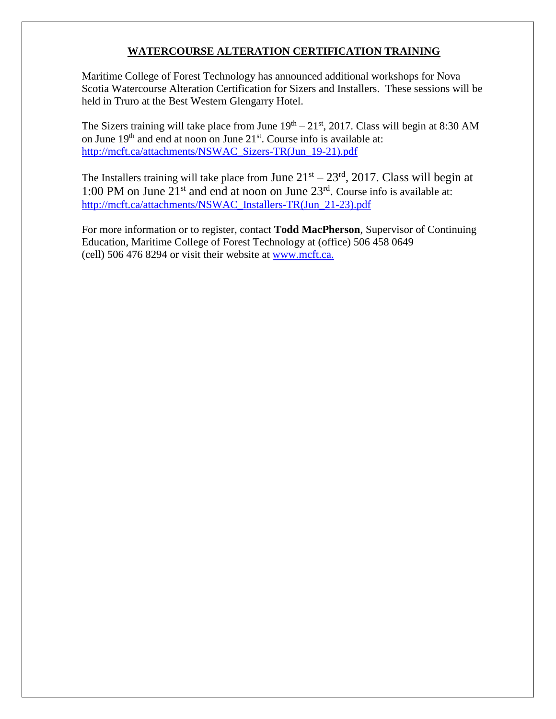# **WATERCOURSE ALTERATION CERTIFICATION TRAINING**

Maritime College of Forest Technology has announced additional workshops for Nova Scotia Watercourse Alteration Certification for Sizers and Installers. These sessions will be held in Truro at the Best Western Glengarry Hotel.

The Sizers training will take place from June  $19<sup>th</sup> - 21<sup>st</sup>$ , 2017. Class will begin at 8:30 AM on June 19<sup>th</sup> and end at noon on June 21<sup>st</sup>. Course info is available at: [http://mcft.ca/attachments/NSWAC\\_Sizers-TR\(Jun\\_19-21\).pdf](http://mcft.ca/attachments/NSWAC_Sizers-TR(Jun_19-21).pdf)

The Installers training will take place from June  $21<sup>st</sup> - 23<sup>rd</sup>$ , 2017. Class will begin at 1:00 PM on June 21<sup>st</sup> and end at noon on June 23<sup>rd</sup>. Course info is available at: [http://mcft.ca/attachments/NSWAC\\_Installers-TR\(Jun\\_21-23\).pdf](http://mcft.ca/attachments/NSWAC_Installers-TR(Jun_21-23).pdf)

For more information or to register, contact **Todd MacPherson**, Supervisor of Continuing Education, Maritime College of Forest Technology at (office) 506 458 0649 (cell) 506 476 8294 or visit their website at [www.mcft.ca.](http://mcft.ca/en/continuing-education/upcoming-courses)